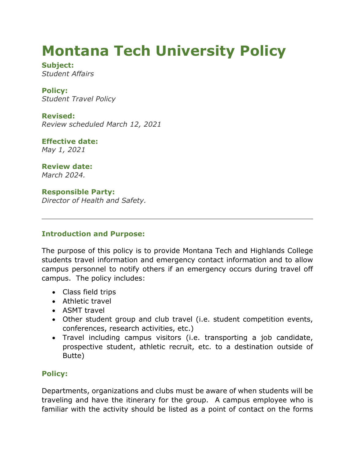# **Montana Tech University Policy**

**Subject:** *Student Affairs*

**Policy:** *Student Travel Policy*

**Revised:** *Review scheduled March 12, 2021*

**Effective date:** *May 1, 2021*

**Review date:** *March 2024.*

**Responsible Party:** *Director of Health and Safety.*

### **Introduction and Purpose:**

The purpose of this policy is to provide Montana Tech and Highlands College students travel information and emergency contact information and to allow campus personnel to notify others if an emergency occurs during travel off campus. The policy includes:

- Class field trips
- Athletic travel
- ASMT travel
- Other student group and club travel (i.e. student competition events, conferences, research activities, etc.)
- Travel including campus visitors (i.e. transporting a job candidate, prospective student, athletic recruit, etc. to a destination outside of Butte)

## **Policy:**

Departments, organizations and clubs must be aware of when students will be traveling and have the itinerary for the group. A campus employee who is familiar with the activity should be listed as a point of contact on the forms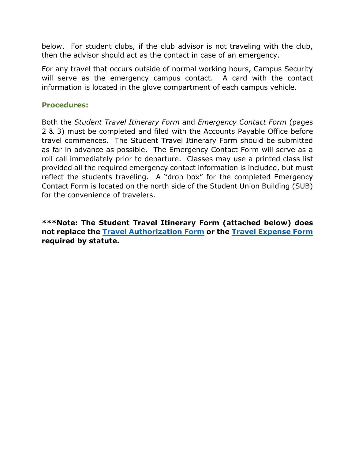below. For student clubs, if the club advisor is not traveling with the club, then the advisor should act as the contact in case of an emergency.

For any travel that occurs outside of normal working hours, Campus Security will serve as the emergency campus contact. A card with the contact information is located in the glove compartment of each campus vehicle.

#### **Procedures:**

Both the *Student Travel Itinerary Form* and *Emergency Contact Form* (pages 2 & 3) must be completed and filed with the Accounts Payable Office before travel commences. The Student Travel Itinerary Form should be submitted as far in advance as possible. The Emergency Contact Form will serve as a roll call immediately prior to departure. Classes may use a printed class list provided all the required emergency contact information is included, but must reflect the students traveling. A "drop box" for the completed Emergency Contact Form is located on the north side of the Student Union Building (SUB) for the convenience of travelers.

**\*\*\*Note: The Student Travel Itinerary Form (attached below) does not replace the [Travel Authorization Form](https://www.mtech.edu/administrative-services/forms/index.html) or the [Travel Expense Form](https://www.mtech.edu/administrative-services/forms/index.html) required by statute.**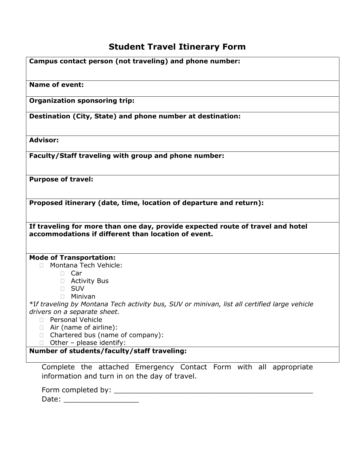# **Student Travel Itinerary Form**

| Campus contact person (not traveling) and phone number:                                                                               |  |  |  |  |  |
|---------------------------------------------------------------------------------------------------------------------------------------|--|--|--|--|--|
| <b>Name of event:</b>                                                                                                                 |  |  |  |  |  |
| <b>Organization sponsoring trip:</b>                                                                                                  |  |  |  |  |  |
| Destination (City, State) and phone number at destination:                                                                            |  |  |  |  |  |
| <b>Advisor:</b>                                                                                                                       |  |  |  |  |  |
| Faculty/Staff traveling with group and phone number:                                                                                  |  |  |  |  |  |
| <b>Purpose of travel:</b>                                                                                                             |  |  |  |  |  |
| Proposed itinerary (date, time, location of departure and return):                                                                    |  |  |  |  |  |
| If traveling for more than one day, provide expected route of travel and hotel<br>accommodations if different than location of event. |  |  |  |  |  |
| <b>Mode of Transportation:</b>                                                                                                        |  |  |  |  |  |
| Montana Tech Vehicle:                                                                                                                 |  |  |  |  |  |
| $\Box$ Car                                                                                                                            |  |  |  |  |  |
| $\Box$ Activity Bus<br><b>SUV</b><br>П.                                                                                               |  |  |  |  |  |
| Minivan<br>П.                                                                                                                         |  |  |  |  |  |
| *If traveling by Montana Tech activity bus, SUV or minivan, list all certified large vehicle                                          |  |  |  |  |  |
| drivers on a separate sheet.                                                                                                          |  |  |  |  |  |
| <b>Personal Vehicle</b>                                                                                                               |  |  |  |  |  |
| Air (name of airline):<br>П<br>Chartered bus (name of company):<br>П.                                                                 |  |  |  |  |  |
| $\Box$ Other - please identify:                                                                                                       |  |  |  |  |  |
| Number of students/faculty/staff traveling:                                                                                           |  |  |  |  |  |
| Complete the attached Emergency Contact Form with all appropriate                                                                     |  |  |  |  |  |
| information and turn in on the day of travel.                                                                                         |  |  |  |  |  |
| Form completed by: ______                                                                                                             |  |  |  |  |  |

Date: \_\_\_\_\_\_\_\_\_\_\_\_\_\_\_\_\_\_\_\_\_\_\_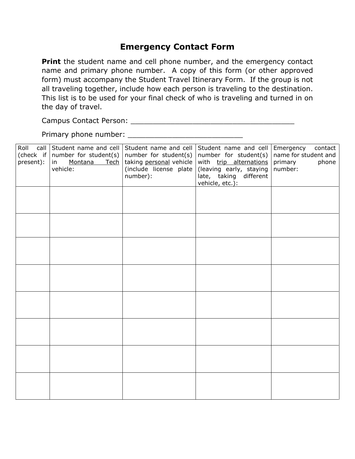# **Emergency Contact Form**

**Print** the student name and cell phone number, and the emergency contact name and primary phone number. A copy of this form (or other approved form) must accompany the Student Travel Itinerary Form. If the group is not all traveling together, include how each person is traveling to the destination. This list is to be used for your final check of who is traveling and turned in on the day of travel.

Campus Contact Person: \_\_\_\_\_\_\_\_\_\_\_\_\_\_\_\_\_\_\_\_\_\_\_\_\_\_\_\_\_\_\_\_\_\_\_\_\_

Primary phone number: \_\_\_\_\_\_\_\_\_\_\_\_\_\_\_\_\_\_\_\_\_\_\_\_\_\_

| Roll call<br>(check if<br>present): | Student name and cell Student name and cell<br>number for student(s)<br>Montana<br>Tech<br>in<br>vehicle: | number for student(s)<br>taking personal vehicle<br>(include license plate<br>number): | Student name and cell<br>number for student(s)<br>with trip alternations<br>(leaving early, staying<br>late, taking different<br>vehicle, etc.): | Emergency<br>contact<br>name for student and<br>phone<br>primary<br>number: |
|-------------------------------------|-----------------------------------------------------------------------------------------------------------|----------------------------------------------------------------------------------------|--------------------------------------------------------------------------------------------------------------------------------------------------|-----------------------------------------------------------------------------|
|                                     |                                                                                                           |                                                                                        |                                                                                                                                                  |                                                                             |
|                                     |                                                                                                           |                                                                                        |                                                                                                                                                  |                                                                             |
|                                     |                                                                                                           |                                                                                        |                                                                                                                                                  |                                                                             |
|                                     |                                                                                                           |                                                                                        |                                                                                                                                                  |                                                                             |
|                                     |                                                                                                           |                                                                                        |                                                                                                                                                  |                                                                             |
|                                     |                                                                                                           |                                                                                        |                                                                                                                                                  |                                                                             |
|                                     |                                                                                                           |                                                                                        |                                                                                                                                                  |                                                                             |
|                                     |                                                                                                           |                                                                                        |                                                                                                                                                  |                                                                             |